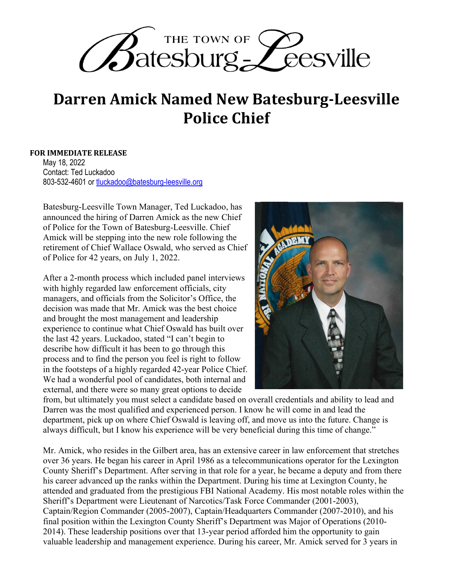

## **Darren Amick Named New Batesburg-Leesville Police Chief**

## **FOR IMMEDIATE RELEASE**

May 18, 2022 Contact: Ted Luckadoo 803-532-4601 or tluckadoo@batesburg-leesville.org

Batesburg-Leesville Town Manager, Ted Luckadoo, has announced the hiring of Darren Amick as the new Chief of Police for the Town of Batesburg-Leesville. Chief Amick will be stepping into the new role following the retirement of Chief Wallace Oswald, who served as Chief of Police for 42 years, on July 1, 2022.

After a 2-month process which included panel interviews with highly regarded law enforcement officials, city managers, and officials from the Solicitor's Office, the decision was made that Mr. Amick was the best choice and brought the most management and leadership experience to continue what Chief Oswald has built over the last 42 years. Luckadoo, stated "I can't begin to describe how difficult it has been to go through this process and to find the person you feel is right to follow in the footsteps of a highly regarded 42-year Police Chief. We had a wonderful pool of candidates, both internal and external, and there were so many great options to decide



from, but ultimately you must select a candidate based on overall credentials and ability to lead and Darren was the most qualified and experienced person. I know he will come in and lead the department, pick up on where Chief Oswald is leaving off, and move us into the future. Change is always difficult, but I know his experience will be very beneficial during this time of change."

Mr. Amick, who resides in the Gilbert area, has an extensive career in law enforcement that stretches over 36 years. He began his career in April 1986 as a telecommunications operator for the Lexington County Sheriff's Department. After serving in that role for a year, he became a deputy and from there his career advanced up the ranks within the Department. During his time at Lexington County, he attended and graduated from the prestigious FBI National Academy. His most notable roles within the Sheriff's Department were Lieutenant of Narcotics/Task Force Commander (2001-2003), Captain/Region Commander (2005-2007), Captain/Headquarters Commander (2007-2010), and his final position within the Lexington County Sheriff's Department was Major of Operations (2010- 2014). These leadership positions over that 13-year period afforded him the opportunity to gain valuable leadership and management experience. During his career, Mr. Amick served for 3 years in